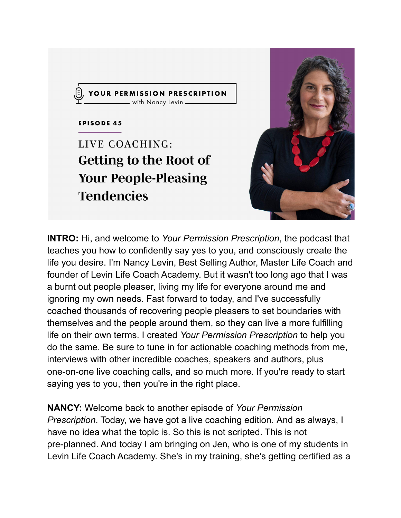



**INTRO:** Hi, and welcome to *Your Permission Prescription*, the podcast that teaches you how to confidently say yes to you, and consciously create the life you desire. I'm Nancy Levin, Best Selling Author, Master Life Coach and founder of Levin Life Coach Academy. But it wasn't too long ago that I was a burnt out people pleaser, living my life for everyone around me and ignoring my own needs. Fast forward to today, and I've successfully coached thousands of recovering people pleasers to set boundaries with themselves and the people around them, so they can live a more fulfilling life on their own terms. I created *Your Permission Prescription* to help you do the same. Be sure to tune in for actionable coaching methods from me, interviews with other incredible coaches, speakers and authors, plus one-on-one live coaching calls, and so much more. If you're ready to start saying yes to you, then you're in the right place.

**NANCY:** Welcome back to another episode of *Your Permission Prescription*. Today, we have got a live coaching edition. And as always, I have no idea what the topic is. So this is not scripted. This is not pre-planned. And today I am bringing on Jen, who is one of my students in Levin Life Coach Academy. She's in my training, she's getting certified as a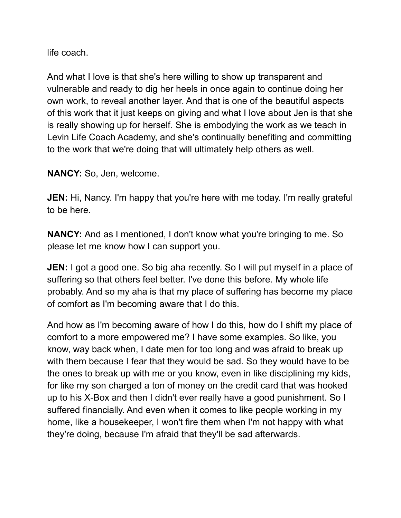life coach.

And what I love is that she's here willing to show up transparent and vulnerable and ready to dig her heels in once again to continue doing her own work, to reveal another layer. And that is one of the beautiful aspects of this work that it just keeps on giving and what I love about Jen is that she is really showing up for herself. She is embodying the work as we teach in Levin Life Coach Academy, and she's continually benefiting and committing to the work that we're doing that will ultimately help others as well.

**NANCY:** So, Jen, welcome.

**JEN:** Hi, Nancy. I'm happy that you're here with me today. I'm really grateful to be here.

**NANCY:** And as I mentioned, I don't know what you're bringing to me. So please let me know how I can support you.

**JEN:** I got a good one. So big aha recently. So I will put myself in a place of suffering so that others feel better. I've done this before. My whole life probably. And so my aha is that my place of suffering has become my place of comfort as I'm becoming aware that I do this.

And how as I'm becoming aware of how I do this, how do I shift my place of comfort to a more empowered me? I have some examples. So like, you know, way back when, I date men for too long and was afraid to break up with them because I fear that they would be sad. So they would have to be the ones to break up with me or you know, even in like disciplining my kids, for like my son charged a ton of money on the credit card that was hooked up to his X-Box and then I didn't ever really have a good punishment. So I suffered financially. And even when it comes to like people working in my home, like a housekeeper, I won't fire them when I'm not happy with what they're doing, because I'm afraid that they'll be sad afterwards.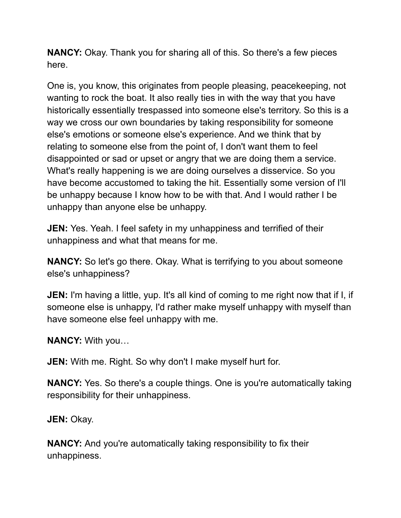**NANCY:** Okay. Thank you for sharing all of this. So there's a few pieces here.

One is, you know, this originates from people pleasing, peacekeeping, not wanting to rock the boat. It also really ties in with the way that you have historically essentially trespassed into someone else's territory. So this is a way we cross our own boundaries by taking responsibility for someone else's emotions or someone else's experience. And we think that by relating to someone else from the point of, I don't want them to feel disappointed or sad or upset or angry that we are doing them a service. What's really happening is we are doing ourselves a disservice. So you have become accustomed to taking the hit. Essentially some version of I'll be unhappy because I know how to be with that. And I would rather I be unhappy than anyone else be unhappy.

**JEN:** Yes. Yeah. I feel safety in my unhappiness and terrified of their unhappiness and what that means for me.

**NANCY:** So let's go there. Okay. What is terrifying to you about someone else's unhappiness?

**JEN:** I'm having a little, yup. It's all kind of coming to me right now that if I, if someone else is unhappy, I'd rather make myself unhappy with myself than have someone else feel unhappy with me.

**NANCY:** With you…

**JEN:** With me. Right. So why don't I make myself hurt for.

**NANCY:** Yes. So there's a couple things. One is you're automatically taking responsibility for their unhappiness.

**JEN:** Okay.

**NANCY:** And you're automatically taking responsibility to fix their unhappiness.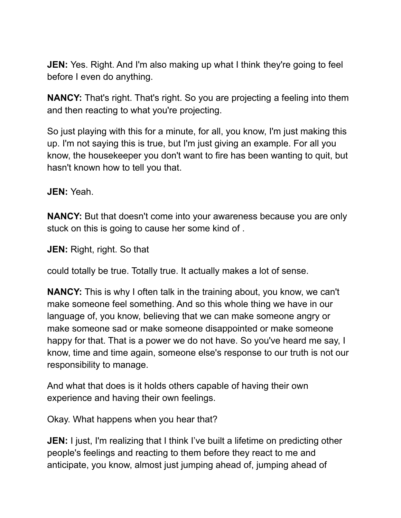**JEN:** Yes. Right. And I'm also making up what I think they're going to feel before I even do anything.

**NANCY:** That's right. That's right. So you are projecting a feeling into them and then reacting to what you're projecting.

So just playing with this for a minute, for all, you know, I'm just making this up. I'm not saying this is true, but I'm just giving an example. For all you know, the housekeeper you don't want to fire has been wanting to quit, but hasn't known how to tell you that.

**JEN:** Yeah.

**NANCY:** But that doesn't come into your awareness because you are only stuck on this is going to cause her some kind of .

**JEN:** Right, right. So that

could totally be true. Totally true. It actually makes a lot of sense.

**NANCY:** This is why I often talk in the training about, you know, we can't make someone feel something. And so this whole thing we have in our language of, you know, believing that we can make someone angry or make someone sad or make someone disappointed or make someone happy for that. That is a power we do not have. So you've heard me say, I know, time and time again, someone else's response to our truth is not our responsibility to manage.

And what that does is it holds others capable of having their own experience and having their own feelings.

Okay. What happens when you hear that?

**JEN:** I just, I'm realizing that I think I've built a lifetime on predicting other people's feelings and reacting to them before they react to me and anticipate, you know, almost just jumping ahead of, jumping ahead of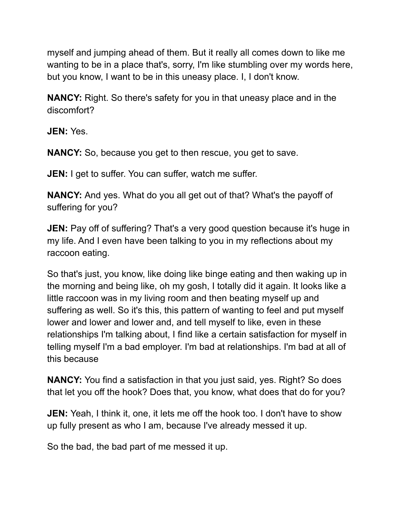myself and jumping ahead of them. But it really all comes down to like me wanting to be in a place that's, sorry, I'm like stumbling over my words here, but you know, I want to be in this uneasy place. I, I don't know.

**NANCY:** Right. So there's safety for you in that uneasy place and in the discomfort?

**JEN:** Yes.

**NANCY:** So, because you get to then rescue, you get to save.

**JEN:** I get to suffer. You can suffer, watch me suffer.

**NANCY:** And yes. What do you all get out of that? What's the payoff of suffering for you?

**JEN:** Pay off of suffering? That's a very good question because it's huge in my life. And I even have been talking to you in my reflections about my raccoon eating.

So that's just, you know, like doing like binge eating and then waking up in the morning and being like, oh my gosh, I totally did it again. It looks like a little raccoon was in my living room and then beating myself up and suffering as well. So it's this, this pattern of wanting to feel and put myself lower and lower and lower and, and tell myself to like, even in these relationships I'm talking about, I find like a certain satisfaction for myself in telling myself I'm a bad employer. I'm bad at relationships. I'm bad at all of this because

**NANCY:** You find a satisfaction in that you just said, yes. Right? So does that let you off the hook? Does that, you know, what does that do for you?

**JEN:** Yeah, I think it, one, it lets me off the hook too. I don't have to show up fully present as who I am, because I've already messed it up.

So the bad, the bad part of me messed it up.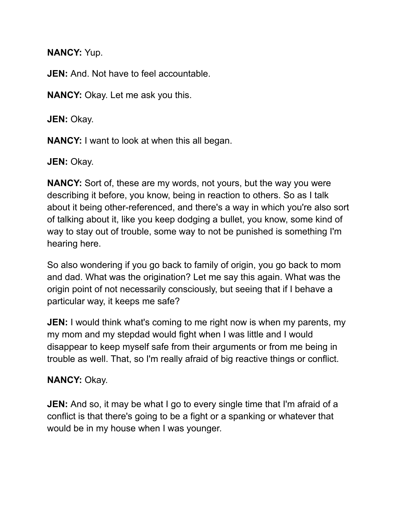**NANCY:** Yup.

**JEN:** And. Not have to feel accountable.

**NANCY:** Okay. Let me ask you this.

**JEN:** Okay.

**NANCY:** I want to look at when this all began.

**JEN:** Okay.

**NANCY:** Sort of, these are my words, not yours, but the way you were describing it before, you know, being in reaction to others. So as I talk about it being other-referenced, and there's a way in which you're also sort of talking about it, like you keep dodging a bullet, you know, some kind of way to stay out of trouble, some way to not be punished is something I'm hearing here.

So also wondering if you go back to family of origin, you go back to mom and dad. What was the origination? Let me say this again. What was the origin point of not necessarily consciously, but seeing that if I behave a particular way, it keeps me safe?

**JEN:** I would think what's coming to me right now is when my parents, my my mom and my stepdad would fight when I was little and I would disappear to keep myself safe from their arguments or from me being in trouble as well. That, so I'm really afraid of big reactive things or conflict.

## **NANCY:** Okay.

**JEN:** And so, it may be what I go to every single time that I'm afraid of a conflict is that there's going to be a fight or a spanking or whatever that would be in my house when I was younger.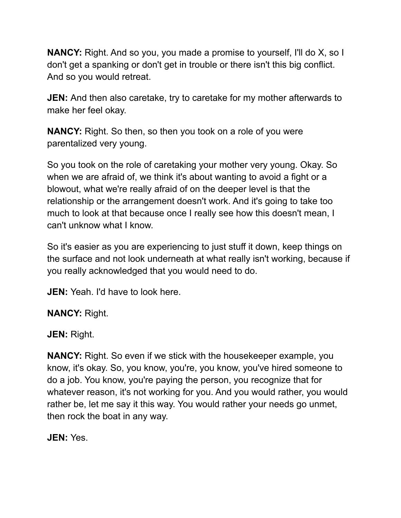**NANCY:** Right. And so you, you made a promise to yourself, I'll do X, so I don't get a spanking or don't get in trouble or there isn't this big conflict. And so you would retreat.

**JEN:** And then also caretake, try to caretake for my mother afterwards to make her feel okay.

**NANCY:** Right. So then, so then you took on a role of you were parentalized very young.

So you took on the role of caretaking your mother very young. Okay. So when we are afraid of, we think it's about wanting to avoid a fight or a blowout, what we're really afraid of on the deeper level is that the relationship or the arrangement doesn't work. And it's going to take too much to look at that because once I really see how this doesn't mean, I can't unknow what I know.

So it's easier as you are experiencing to just stuff it down, keep things on the surface and not look underneath at what really isn't working, because if you really acknowledged that you would need to do.

**JEN:** Yeah. I'd have to look here.

**NANCY:** Right.

**JEN:** Right.

**NANCY:** Right. So even if we stick with the housekeeper example, you know, it's okay. So, you know, you're, you know, you've hired someone to do a job. You know, you're paying the person, you recognize that for whatever reason, it's not working for you. And you would rather, you would rather be, let me say it this way. You would rather your needs go unmet, then rock the boat in any way.

**JEN:** Yes.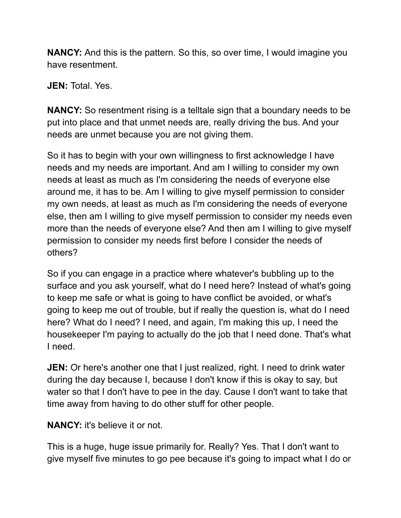**NANCY:** And this is the pattern. So this, so over time, I would imagine you have resentment.

**JEN:** Total. Yes.

**NANCY:** So resentment rising is a telltale sign that a boundary needs to be put into place and that unmet needs are, really driving the bus. And your needs are unmet because you are not giving them.

So it has to begin with your own willingness to first acknowledge I have needs and my needs are important. And am I willing to consider my own needs at least as much as I'm considering the needs of everyone else around me, it has to be. Am I willing to give myself permission to consider my own needs, at least as much as I'm considering the needs of everyone else, then am I willing to give myself permission to consider my needs even more than the needs of everyone else? And then am I willing to give myself permission to consider my needs first before I consider the needs of others?

So if you can engage in a practice where whatever's bubbling up to the surface and you ask yourself, what do I need here? Instead of what's going to keep me safe or what is going to have conflict be avoided, or what's going to keep me out of trouble, but if really the question is, what do I need here? What do I need? I need, and again, I'm making this up, I need the housekeeper I'm paying to actually do the job that I need done. That's what I need.

**JEN:** Or here's another one that I just realized, right. I need to drink water during the day because I, because I don't know if this is okay to say, but water so that I don't have to pee in the day. Cause I don't want to take that time away from having to do other stuff for other people.

**NANCY:** it's believe it or not.

This is a huge, huge issue primarily for. Really? Yes. That I don't want to give myself five minutes to go pee because it's going to impact what I do or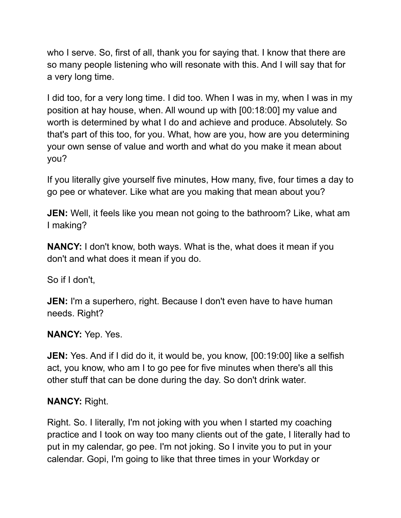who I serve. So, first of all, thank you for saying that. I know that there are so many people listening who will resonate with this. And I will say that for a very long time.

I did too, for a very long time. I did too. When I was in my, when I was in my position at hay house, when. All wound up with [00:18:00] my value and worth is determined by what I do and achieve and produce. Absolutely. So that's part of this too, for you. What, how are you, how are you determining your own sense of value and worth and what do you make it mean about you?

If you literally give yourself five minutes, How many, five, four times a day to go pee or whatever. Like what are you making that mean about you?

**JEN:** Well, it feels like you mean not going to the bathroom? Like, what am I making?

**NANCY:** I don't know, both ways. What is the, what does it mean if you don't and what does it mean if you do.

So if I don't,

**JEN:** I'm a superhero, right. Because I don't even have to have human needs. Right?

**NANCY:** Yep. Yes.

**JEN:** Yes. And if I did do it, it would be, you know, [00:19:00] like a selfish act, you know, who am I to go pee for five minutes when there's all this other stuff that can be done during the day. So don't drink water.

## **NANCY:** Right.

Right. So. I literally, I'm not joking with you when I started my coaching practice and I took on way too many clients out of the gate, I literally had to put in my calendar, go pee. I'm not joking. So I invite you to put in your calendar. Gopi, I'm going to like that three times in your Workday or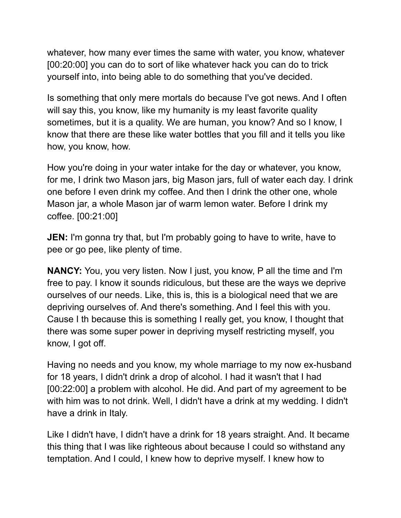whatever, how many ever times the same with water, you know, whatever [00:20:00] you can do to sort of like whatever hack you can do to trick yourself into, into being able to do something that you've decided.

Is something that only mere mortals do because I've got news. And I often will say this, you know, like my humanity is my least favorite quality sometimes, but it is a quality. We are human, you know? And so I know, I know that there are these like water bottles that you fill and it tells you like how, you know, how.

How you're doing in your water intake for the day or whatever, you know, for me, I drink two Mason jars, big Mason jars, full of water each day. I drink one before I even drink my coffee. And then I drink the other one, whole Mason jar, a whole Mason jar of warm lemon water. Before I drink my coffee. [00:21:00]

**JEN:** I'm gonna try that, but I'm probably going to have to write, have to pee or go pee, like plenty of time.

**NANCY:** You, you very listen. Now I just, you know, P all the time and I'm free to pay. I know it sounds ridiculous, but these are the ways we deprive ourselves of our needs. Like, this is, this is a biological need that we are depriving ourselves of. And there's something. And I feel this with you. Cause I th because this is something I really get, you know, I thought that there was some super power in depriving myself restricting myself, you know, I got off.

Having no needs and you know, my whole marriage to my now ex-husband for 18 years, I didn't drink a drop of alcohol. I had it wasn't that I had [00:22:00] a problem with alcohol. He did. And part of my agreement to be with him was to not drink. Well, I didn't have a drink at my wedding. I didn't have a drink in Italy.

Like I didn't have, I didn't have a drink for 18 years straight. And. It became this thing that I was like righteous about because I could so withstand any temptation. And I could, I knew how to deprive myself. I knew how to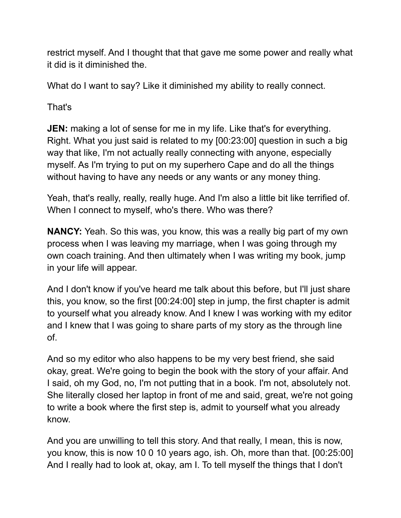restrict myself. And I thought that that gave me some power and really what it did is it diminished the.

What do I want to say? Like it diminished my ability to really connect.

That's

**JEN:** making a lot of sense for me in my life. Like that's for everything. Right. What you just said is related to my [00:23:00] question in such a big way that like, I'm not actually really connecting with anyone, especially myself. As I'm trying to put on my superhero Cape and do all the things without having to have any needs or any wants or any money thing.

Yeah, that's really, really, really huge. And I'm also a little bit like terrified of. When I connect to myself, who's there. Who was there?

**NANCY:** Yeah. So this was, you know, this was a really big part of my own process when I was leaving my marriage, when I was going through my own coach training. And then ultimately when I was writing my book, jump in your life will appear.

And I don't know if you've heard me talk about this before, but I'll just share this, you know, so the first [00:24:00] step in jump, the first chapter is admit to yourself what you already know. And I knew I was working with my editor and I knew that I was going to share parts of my story as the through line of.

And so my editor who also happens to be my very best friend, she said okay, great. We're going to begin the book with the story of your affair. And I said, oh my God, no, I'm not putting that in a book. I'm not, absolutely not. She literally closed her laptop in front of me and said, great, we're not going to write a book where the first step is, admit to yourself what you already know.

And you are unwilling to tell this story. And that really, I mean, this is now, you know, this is now 10 0 10 years ago, ish. Oh, more than that. [00:25:00] And I really had to look at, okay, am I. To tell myself the things that I don't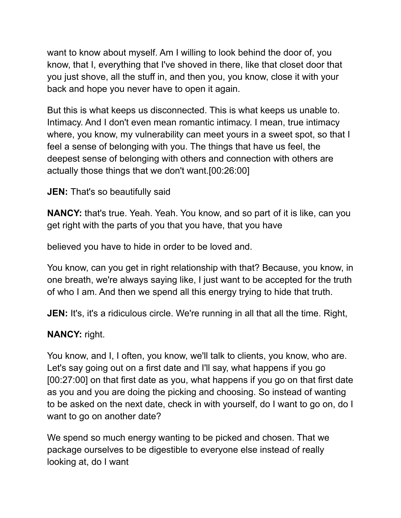want to know about myself. Am I willing to look behind the door of, you know, that I, everything that I've shoved in there, like that closet door that you just shove, all the stuff in, and then you, you know, close it with your back and hope you never have to open it again.

But this is what keeps us disconnected. This is what keeps us unable to. Intimacy. And I don't even mean romantic intimacy. I mean, true intimacy where, you know, my vulnerability can meet yours in a sweet spot, so that I feel a sense of belonging with you. The things that have us feel, the deepest sense of belonging with others and connection with others are actually those things that we don't want.[00:26:00]

## **JEN:** That's so beautifully said

**NANCY:** that's true. Yeah. Yeah. You know, and so part of it is like, can you get right with the parts of you that you have, that you have

believed you have to hide in order to be loved and.

You know, can you get in right relationship with that? Because, you know, in one breath, we're always saying like, I just want to be accepted for the truth of who I am. And then we spend all this energy trying to hide that truth.

**JEN:** It's, it's a ridiculous circle. We're running in all that all the time. Right,

## **NANCY:** right.

You know, and I, I often, you know, we'll talk to clients, you know, who are. Let's say going out on a first date and I'll say, what happens if you go [00:27:00] on that first date as you, what happens if you go on that first date as you and you are doing the picking and choosing. So instead of wanting to be asked on the next date, check in with yourself, do I want to go on, do I want to go on another date?

We spend so much energy wanting to be picked and chosen. That we package ourselves to be digestible to everyone else instead of really looking at, do I want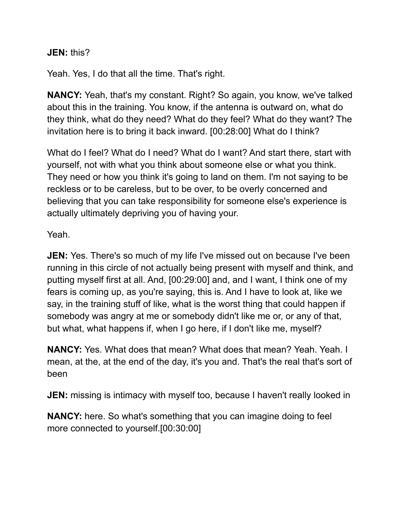**JEN:** this?

Yeah. Yes, I do that all the time. That's right.

**NANCY:** Yeah, that's my constant. Right? So again, you know, we've talked about this in the training. You know, if the antenna is outward on, what do they think, what do they need? What do they feel? What do they want? The invitation here is to bring it back inward. [00:28:00] What do I think?

What do I feel? What do I need? What do I want? And start there, start with yourself, not with what you think about someone else or what you think. They need or how you think it's going to land on them. I'm not saying to be reckless or to be careless, but to be over, to be overly concerned and believing that you can take responsibility for someone else's experience is actually ultimately depriving you of having your.

Yeah.

**JEN:** Yes. There's so much of my life I've missed out on because I've been running in this circle of not actually being present with myself and think, and putting myself first at all. And, [00:29:00] and, and I want, I think one of my fears is coming up, as you're saying, this is. And I have to look at, like we say, in the training stuff of like, what is the worst thing that could happen if somebody was angry at me or somebody didn't like me or, or any of that, but what, what happens if, when I go here, if I don't like me, myself?

**NANCY:** Yes. What does that mean? What does that mean? Yeah. Yeah. I mean, at the, at the end of the day, it's you and. That's the real that's sort of been

**JEN:** missing is intimacy with myself too, because I haven't really looked in

**NANCY:** here. So what's something that you can imagine doing to feel more connected to yourself.[00:30:00]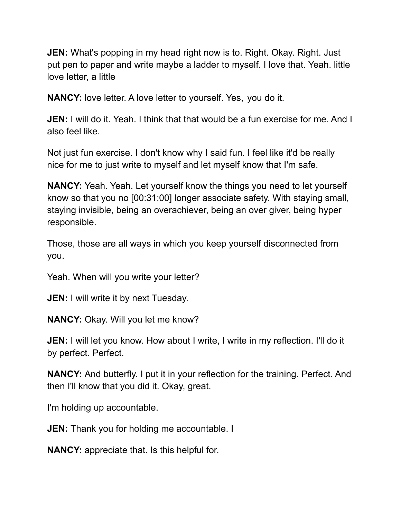**JEN:** What's popping in my head right now is to. Right. Okay. Right. Just put pen to paper and write maybe a ladder to myself. I love that. Yeah. little love letter, a little

**NANCY:** love letter. A love letter to yourself. Yes, you do it.

**JEN:** I will do it. Yeah. I think that that would be a fun exercise for me. And I also feel like.

Not just fun exercise. I don't know why I said fun. I feel like it'd be really nice for me to just write to myself and let myself know that I'm safe.

**NANCY:** Yeah. Yeah. Let yourself know the things you need to let yourself know so that you no [00:31:00] longer associate safety. With staying small, staying invisible, being an overachiever, being an over giver, being hyper responsible.

Those, those are all ways in which you keep yourself disconnected from you.

Yeah. When will you write your letter?

**JEN:** I will write it by next Tuesday.

**NANCY:** Okay. Will you let me know?

**JEN:** I will let you know. How about I write, I write in my reflection. I'll do it by perfect. Perfect.

**NANCY:** And butterfly. I put it in your reflection for the training. Perfect. And then I'll know that you did it. Okay, great.

I'm holding up accountable.

**JEN:** Thank you for holding me accountable. I

**NANCY:** appreciate that. Is this helpful for.